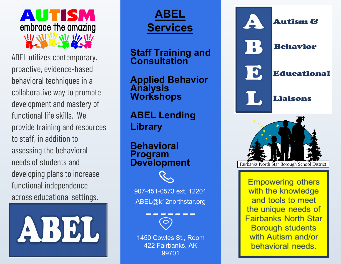

ABEL utilizes contemporary, proactive, evidence-based behavioral techniques in a collaborative way to promote development and mastery of functional life skills. We provide training and resources to staff, in addition to assessing the behavioral needs of students and developing plans to increase functional independence across educational settings.<br>
MABEL@k12northstar.org



## **ABEL Services**

**Staff Training and Consultation**

**Applied Behavior Analysis Workshops**

**ABEL Lending Library**

**Behavioral Program Development**



1450 Cowles St., Room 422 Fairbanks, AK 99701





**Empowering others** with the knowledge and tools to meet the unique needs of **Fairbanks North Star Borough students** with Autism and/or behavioral needs.